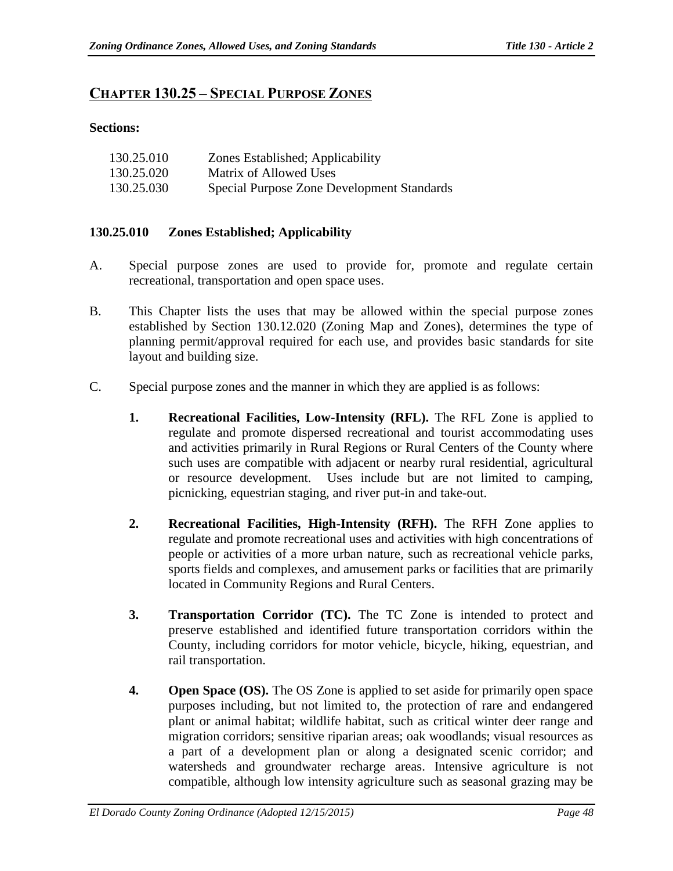# **CHAPTER 130.25 – SPECIAL PURPOSE ZONES**

### **Sections:**

| 130.25.010 | Zones Established; Applicability           |
|------------|--------------------------------------------|
| 130.25.020 | Matrix of Allowed Uses                     |
| 130.25.030 | Special Purpose Zone Development Standards |

# **130.25.010 Zones Established; Applicability**

- A. Special purpose zones are used to provide for, promote and regulate certain recreational, transportation and open space uses.
- B. This Chapter lists the uses that may be allowed within the special purpose zones established by Section 130.12.020 (Zoning Map and Zones), determines the type of planning permit/approval required for each use, and provides basic standards for site layout and building size.
- C. Special purpose zones and the manner in which they are applied is as follows:
	- **1. Recreational Facilities, Low-Intensity (RFL).** The RFL Zone is applied to regulate and promote dispersed recreational and tourist accommodating uses and activities primarily in Rural Regions or Rural Centers of the County where such uses are compatible with adjacent or nearby rural residential, agricultural or resource development. Uses include but are not limited to camping, picnicking, equestrian staging, and river put-in and take-out.
	- **2. Recreational Facilities, High-Intensity (RFH).** The RFH Zone applies to regulate and promote recreational uses and activities with high concentrations of people or activities of a more urban nature, such as recreational vehicle parks, sports fields and complexes, and amusement parks or facilities that are primarily located in Community Regions and Rural Centers.
	- **3. Transportation Corridor (TC).** The TC Zone is intended to protect and preserve established and identified future transportation corridors within the County, including corridors for motor vehicle, bicycle, hiking, equestrian, and rail transportation.
	- **4. Open Space (OS).** The OS Zone is applied to set aside for primarily open space purposes including, but not limited to, the protection of rare and endangered plant or animal habitat; wildlife habitat, such as critical winter deer range and migration corridors; sensitive riparian areas; oak woodlands; visual resources as a part of a development plan or along a designated scenic corridor; and watersheds and groundwater recharge areas. Intensive agriculture is not compatible, although low intensity agriculture such as seasonal grazing may be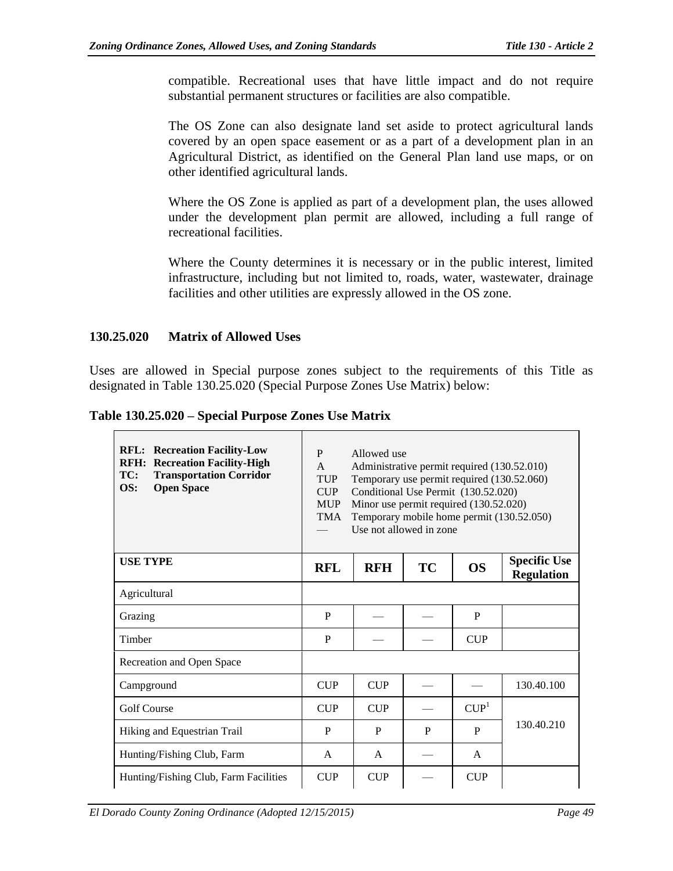compatible. Recreational uses that have little impact and do not require substantial permanent structures or facilities are also compatible.

The OS Zone can also designate land set aside to protect agricultural lands covered by an open space easement or as a part of a development plan in an Agricultural District, as identified on the General Plan land use maps, or on other identified agricultural lands.

Where the OS Zone is applied as part of a development plan, the uses allowed under the development plan permit are allowed, including a full range of recreational facilities.

Where the County determines it is necessary or in the public interest, limited infrastructure, including but not limited to, roads, water, wastewater, drainage facilities and other utilities are expressly allowed in the OS zone.

### **130.25.020 Matrix of Allowed Uses**

Uses are allowed in Special purpose zones subject to the requirements of this Title as designated in Table 130.25.020 (Special Purpose Zones Use Matrix) below:

**Table 130.25.020 – Special Purpose Zones Use Matrix**

| <b>RFL: Recreation Facility-Low</b><br><b>RFH: Recreation Facility-High</b><br>TC:<br><b>Transportation Corridor</b><br><b>Open Space</b><br>OS: | P<br>Allowed use<br>Administrative permit required (130.52.010)<br>$\mathsf{A}$<br>Temporary use permit required (130.52.060)<br><b>TUP</b><br>Conditional Use Permit (130.52.020)<br>CIIP<br><b>MUP</b><br>Minor use permit required (130.52.020)<br>Temporary mobile home permit (130.52.050)<br><b>TMA</b><br>Use not allowed in zone |              |    |                  |                                          |  |
|--------------------------------------------------------------------------------------------------------------------------------------------------|------------------------------------------------------------------------------------------------------------------------------------------------------------------------------------------------------------------------------------------------------------------------------------------------------------------------------------------|--------------|----|------------------|------------------------------------------|--|
| <b>USE TYPE</b>                                                                                                                                  | <b>RFL</b>                                                                                                                                                                                                                                                                                                                               | <b>RFH</b>   | TC | <b>OS</b>        | <b>Specific Use</b><br><b>Regulation</b> |  |
| Agricultural                                                                                                                                     |                                                                                                                                                                                                                                                                                                                                          |              |    |                  |                                          |  |
| Grazing                                                                                                                                          | P                                                                                                                                                                                                                                                                                                                                        |              |    | P                |                                          |  |
| Timber                                                                                                                                           | P                                                                                                                                                                                                                                                                                                                                        |              |    | <b>CUP</b>       |                                          |  |
| Recreation and Open Space                                                                                                                        |                                                                                                                                                                                                                                                                                                                                          |              |    |                  |                                          |  |
| Campground                                                                                                                                       | <b>CUP</b>                                                                                                                                                                                                                                                                                                                               | <b>CUP</b>   |    |                  | 130.40.100                               |  |
| <b>Golf Course</b>                                                                                                                               | CIIP                                                                                                                                                                                                                                                                                                                                     | <b>CUP</b>   |    | CUP <sup>1</sup> |                                          |  |
| Hiking and Equestrian Trail                                                                                                                      | P                                                                                                                                                                                                                                                                                                                                        | P            | P  | P                | 130.40.210                               |  |
| Hunting/Fishing Club, Farm                                                                                                                       | A                                                                                                                                                                                                                                                                                                                                        | $\mathsf{A}$ |    | A                |                                          |  |
| Hunting/Fishing Club, Farm Facilities                                                                                                            | <b>CUP</b>                                                                                                                                                                                                                                                                                                                               | <b>CUP</b>   |    | <b>CUP</b>       |                                          |  |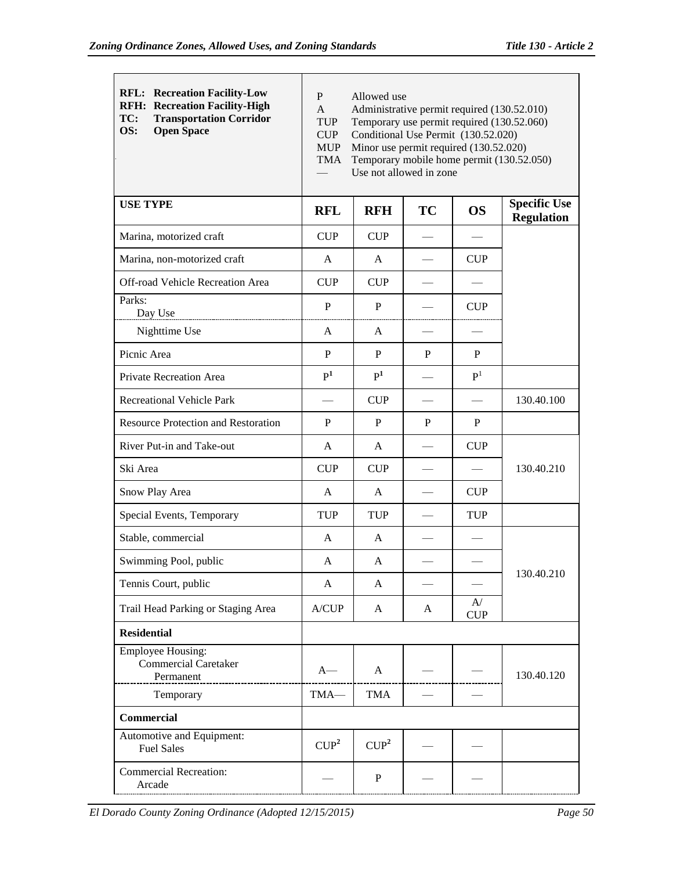| <b>RFL: Recreation Facility-Low</b><br><b>RFH: Recreation Facility-High</b><br><b>Transportation Corridor</b><br>TC:<br>OS:<br><b>Open Space</b> | P<br>Allowed use<br>Administrative permit required (130.52.010)<br>$\mathbf{A}$<br><b>TUP</b><br>Temporary use permit required (130.52.060)<br><b>CUP</b><br>Conditional Use Permit (130.52.020)<br><b>MUP</b><br>Minor use permit required (130.52.020)<br>Temporary mobile home permit (130.52.050)<br><b>TMA</b><br>Use not allowed in zone |                  |           |                |                                          |  |
|--------------------------------------------------------------------------------------------------------------------------------------------------|------------------------------------------------------------------------------------------------------------------------------------------------------------------------------------------------------------------------------------------------------------------------------------------------------------------------------------------------|------------------|-----------|----------------|------------------------------------------|--|
| <b>USE TYPE</b>                                                                                                                                  | <b>RFL</b>                                                                                                                                                                                                                                                                                                                                     | <b>RFH</b>       | <b>TC</b> | <b>OS</b>      | <b>Specific Use</b><br><b>Regulation</b> |  |
| Marina, motorized craft                                                                                                                          | <b>CUP</b>                                                                                                                                                                                                                                                                                                                                     | <b>CUP</b>       |           |                |                                          |  |
| Marina, non-motorized craft                                                                                                                      | A                                                                                                                                                                                                                                                                                                                                              | A                |           | <b>CUP</b>     |                                          |  |
| Off-road Vehicle Recreation Area                                                                                                                 | CUP                                                                                                                                                                                                                                                                                                                                            | <b>CUP</b>       |           |                |                                          |  |
| Parks:<br>Day Use                                                                                                                                | P                                                                                                                                                                                                                                                                                                                                              | P                |           | <b>CUP</b>     |                                          |  |
| Nighttime Use                                                                                                                                    | A                                                                                                                                                                                                                                                                                                                                              | A                |           |                |                                          |  |
| Picnic Area                                                                                                                                      | P                                                                                                                                                                                                                                                                                                                                              | P                | P         | P              |                                          |  |
| <b>Private Recreation Area</b>                                                                                                                   | P <sup>1</sup>                                                                                                                                                                                                                                                                                                                                 | P <sup>1</sup>   |           | P <sup>1</sup> |                                          |  |
| <b>Recreational Vehicle Park</b>                                                                                                                 |                                                                                                                                                                                                                                                                                                                                                | <b>CUP</b>       |           |                | 130.40.100                               |  |
| <b>Resource Protection and Restoration</b>                                                                                                       | P                                                                                                                                                                                                                                                                                                                                              | P                | P         | P              |                                          |  |
| River Put-in and Take-out                                                                                                                        | A                                                                                                                                                                                                                                                                                                                                              | A                |           | CUP            |                                          |  |
| Ski Area                                                                                                                                         | <b>CUP</b>                                                                                                                                                                                                                                                                                                                                     | <b>CUP</b>       |           |                | 130.40.210                               |  |
| Snow Play Area                                                                                                                                   | A                                                                                                                                                                                                                                                                                                                                              | A                |           | <b>CUP</b>     |                                          |  |
| Special Events, Temporary                                                                                                                        | <b>TUP</b>                                                                                                                                                                                                                                                                                                                                     | <b>TUP</b>       |           | <b>TUP</b>     |                                          |  |
| Stable, commercial                                                                                                                               | A                                                                                                                                                                                                                                                                                                                                              | A                |           |                |                                          |  |
| Swimming Pool, public                                                                                                                            | A                                                                                                                                                                                                                                                                                                                                              | A                |           |                |                                          |  |
| Tennis Court, public                                                                                                                             | A                                                                                                                                                                                                                                                                                                                                              | A                |           |                | 130.40.210                               |  |
| Trail Head Parking or Staging Area                                                                                                               | A/CUP                                                                                                                                                                                                                                                                                                                                          | A                | A         | A/<br>CUP      |                                          |  |
| <b>Residential</b>                                                                                                                               |                                                                                                                                                                                                                                                                                                                                                |                  |           |                |                                          |  |
| <b>Employee Housing:</b><br><b>Commercial Caretaker</b><br>Permanent                                                                             | $A-$                                                                                                                                                                                                                                                                                                                                           | A                |           |                | 130.40.120                               |  |
| Temporary                                                                                                                                        | TMA-                                                                                                                                                                                                                                                                                                                                           | <b>TMA</b>       |           |                |                                          |  |
| Commercial                                                                                                                                       |                                                                                                                                                                                                                                                                                                                                                |                  |           |                |                                          |  |
| Automotive and Equipment:<br><b>Fuel Sales</b>                                                                                                   | CUP <sup>2</sup>                                                                                                                                                                                                                                                                                                                               | CUP <sup>2</sup> |           |                |                                          |  |
| <b>Commercial Recreation:</b><br>Arcade                                                                                                          |                                                                                                                                                                                                                                                                                                                                                | $\mathbf P$      |           |                |                                          |  |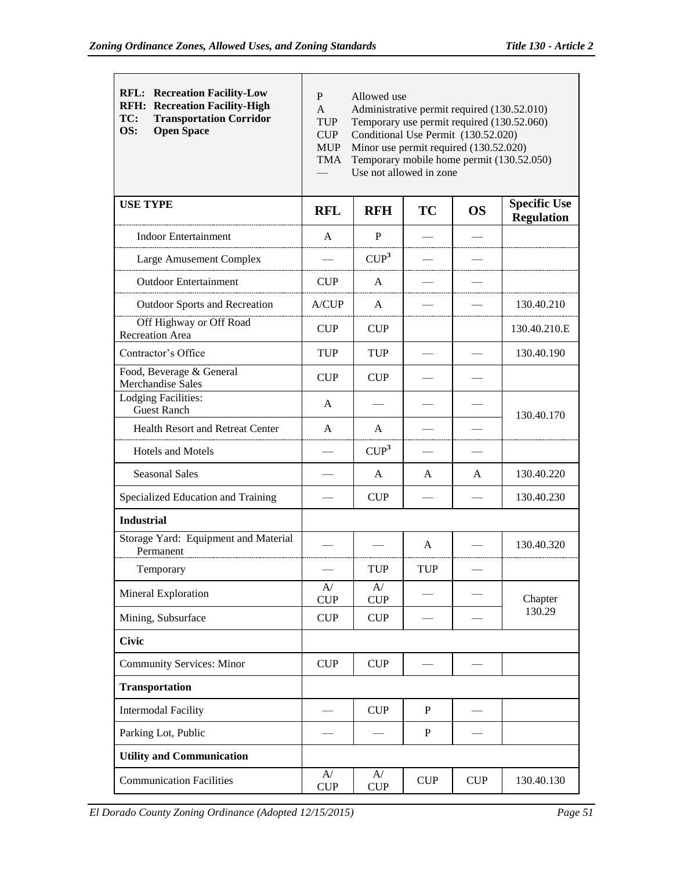| <b>RFL: Recreation Facility-Low</b><br><b>RFH: Recreation Facility-High</b><br><b>Transportation Corridor</b><br>TC:<br>OS:<br><b>Open Space</b> | P<br>Allowed use<br>Administrative permit required (130.52.010)<br>A<br>Temporary use permit required (130.52.060)<br><b>TUP</b><br>CUP<br>Conditional Use Permit (130.52.020)<br><b>MUP</b><br>Minor use permit required (130.52.020)<br>Temporary mobile home permit (130.52.050)<br><b>TMA</b><br>Use not allowed in zone |                  |           |           |                                          |  |
|--------------------------------------------------------------------------------------------------------------------------------------------------|------------------------------------------------------------------------------------------------------------------------------------------------------------------------------------------------------------------------------------------------------------------------------------------------------------------------------|------------------|-----------|-----------|------------------------------------------|--|
| <b>USE TYPE</b>                                                                                                                                  | <b>RFL</b>                                                                                                                                                                                                                                                                                                                   | <b>RFH</b>       | TC        | <b>OS</b> | <b>Specific Use</b><br><b>Regulation</b> |  |
| <b>Indoor Entertainment</b>                                                                                                                      | A                                                                                                                                                                                                                                                                                                                            | P                |           |           |                                          |  |
| Large Amusement Complex                                                                                                                          |                                                                                                                                                                                                                                                                                                                              | CUP <sup>3</sup> |           |           |                                          |  |
| <b>Outdoor Entertainment</b>                                                                                                                     | <b>CUP</b>                                                                                                                                                                                                                                                                                                                   | A                |           |           |                                          |  |
| <b>Outdoor Sports and Recreation</b>                                                                                                             | A/CUP                                                                                                                                                                                                                                                                                                                        | A                |           |           | 130.40.210                               |  |
| Off Highway or Off Road<br>Recreation Area                                                                                                       | <b>CUP</b>                                                                                                                                                                                                                                                                                                                   | <b>CUP</b>       |           |           | 130.40.210.E                             |  |
| Contractor's Office                                                                                                                              | <b>TUP</b>                                                                                                                                                                                                                                                                                                                   | <b>TUP</b>       |           |           | 130.40.190                               |  |
| Food, Beverage & General<br>Merchandise Sales                                                                                                    | <b>CUP</b>                                                                                                                                                                                                                                                                                                                   | <b>CUP</b>       |           |           |                                          |  |
| <b>Lodging Facilities:</b><br><b>Guest Ranch</b>                                                                                                 | A                                                                                                                                                                                                                                                                                                                            |                  |           |           | 130.40.170                               |  |
| Health Resort and Retreat Center                                                                                                                 | A                                                                                                                                                                                                                                                                                                                            | A                |           |           |                                          |  |
| Hotels and Motels                                                                                                                                |                                                                                                                                                                                                                                                                                                                              | CUP <sup>3</sup> |           |           |                                          |  |
| <b>Seasonal Sales</b>                                                                                                                            |                                                                                                                                                                                                                                                                                                                              | A                | A         | A         | 130.40.220                               |  |
| Specialized Education and Training                                                                                                               |                                                                                                                                                                                                                                                                                                                              | CUP              |           |           | 130.40.230                               |  |
| <b>Industrial</b>                                                                                                                                |                                                                                                                                                                                                                                                                                                                              |                  |           |           |                                          |  |
| Storage Yard: Equipment and Material<br>Permanent                                                                                                |                                                                                                                                                                                                                                                                                                                              |                  | A         |           | 130.40.320                               |  |
| Temporary                                                                                                                                        |                                                                                                                                                                                                                                                                                                                              | <b>TUP</b>       | TUP       |           |                                          |  |
| Mineral Exploration                                                                                                                              | A/<br>CUP                                                                                                                                                                                                                                                                                                                    | A/<br><b>CUP</b> |           |           | Chapter                                  |  |
| Mining, Subsurface                                                                                                                               | CUP                                                                                                                                                                                                                                                                                                                          | <b>CUP</b>       |           |           | 130.29                                   |  |
| <b>Civic</b>                                                                                                                                     |                                                                                                                                                                                                                                                                                                                              |                  |           |           |                                          |  |
| <b>Community Services: Minor</b>                                                                                                                 | CUP                                                                                                                                                                                                                                                                                                                          | CUP              |           |           |                                          |  |
| <b>Transportation</b>                                                                                                                            |                                                                                                                                                                                                                                                                                                                              |                  |           |           |                                          |  |
| <b>Intermodal Facility</b>                                                                                                                       |                                                                                                                                                                                                                                                                                                                              | CUP              | P         |           |                                          |  |
| Parking Lot, Public                                                                                                                              |                                                                                                                                                                                                                                                                                                                              |                  | ${\bf P}$ |           |                                          |  |
| <b>Utility and Communication</b>                                                                                                                 |                                                                                                                                                                                                                                                                                                                              |                  |           |           |                                          |  |
| <b>Communication Facilities</b>                                                                                                                  | A/<br>CUP                                                                                                                                                                                                                                                                                                                    | A/<br><b>CUP</b> | CUP       | CUP       | 130.40.130                               |  |

*El Dorado County Zoning Ordinance (Adopted 12/15/2015) Page 51*